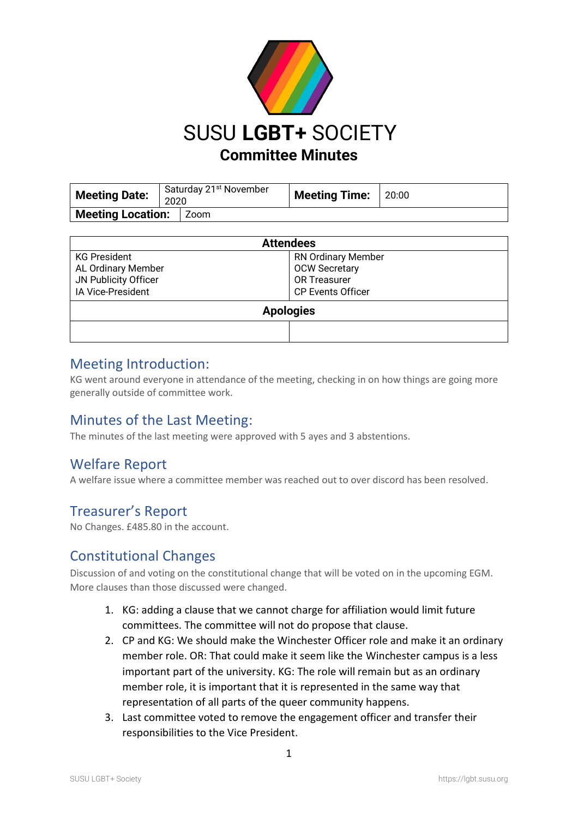

| <b>Meeting Date:</b>     | Saturday 21 <sup>st</sup> November<br>2020 |      | Meeting Time: 20:00 |  |
|--------------------------|--------------------------------------------|------|---------------------|--|
| <b>Meeting Location:</b> |                                            | Zoom |                     |  |

| <b>Attendees</b>     |                           |  |  |  |
|----------------------|---------------------------|--|--|--|
| <b>KG President</b>  | <b>RN Ordinary Member</b> |  |  |  |
| AL Ordinary Member   | <b>OCW Secretary</b>      |  |  |  |
| JN Publicity Officer | OR Treasurer              |  |  |  |
| IA Vice-President    | <b>CP Events Officer</b>  |  |  |  |
| <b>Apologies</b>     |                           |  |  |  |
|                      |                           |  |  |  |

#### Meeting Introduction:

KG went around everyone in attendance of the meeting, checking in on how things are going more generally outside of committee work.

#### Minutes of the Last Meeting:

The minutes of the last meeting were approved with 5 ayes and 3 abstentions.

## Welfare Report

A welfare issue where a committee member was reached out to over discord has been resolved.

#### Treasurer's Report

No Changes. £485.80 in the account.

## Constitutional Changes

Discussion of and voting on the constitutional change that will be voted on in the upcoming EGM. More clauses than those discussed were changed.

- 1. KG: adding a clause that we cannot charge for affiliation would limit future committees. The committee will not do propose that clause.
- 2. CP and KG: We should make the Winchester Officer role and make it an ordinary member role. OR: That could make it seem like the Winchester campus is a less important part of the university. KG: The role will remain but as an ordinary member role, it is important that it is represented in the same way that representation of all parts of the queer community happens.
- 3. Last committee voted to remove the engagement officer and transfer their responsibilities to the Vice President.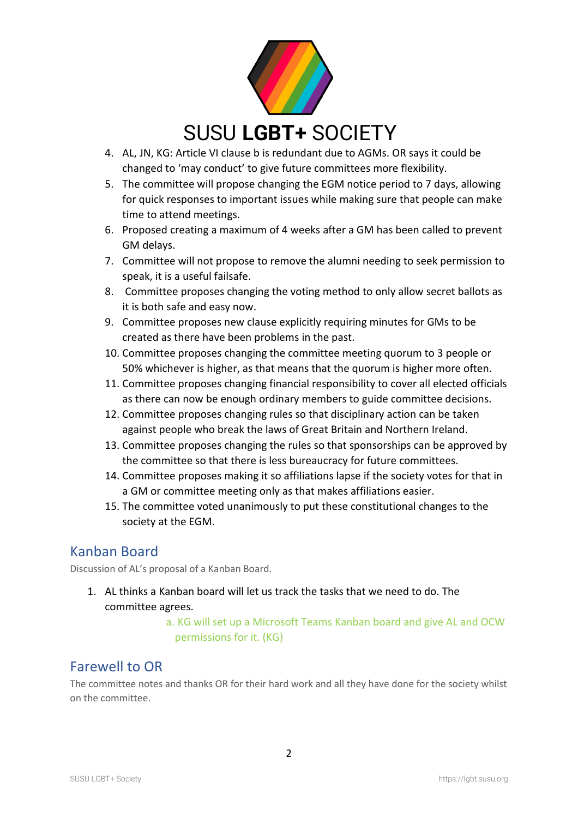

- 4. AL, JN, KG: Article VI clause b is redundant due to AGMs. OR says it could be changed to 'may conduct' to give future committees more flexibility.
- 5. The committee will propose changing the EGM notice period to 7 days, allowing for quick responses to important issues while making sure that people can make time to attend meetings.
- 6. Proposed creating a maximum of 4 weeks after a GM has been called to prevent GM delays.
- 7. Committee will not propose to remove the alumni needing to seek permission to speak, it is a useful failsafe.
- 8. Committee proposes changing the voting method to only allow secret ballots as it is both safe and easy now.
- 9. Committee proposes new clause explicitly requiring minutes for GMs to be created as there have been problems in the past.
- 10. Committee proposes changing the committee meeting quorum to 3 people or 50% whichever is higher, as that means that the quorum is higher more often.
- 11. Committee proposes changing financial responsibility to cover all elected officials as there can now be enough ordinary members to guide committee decisions.
- 12. Committee proposes changing rules so that disciplinary action can be taken against people who break the laws of Great Britain and Northern Ireland.
- 13. Committee proposes changing the rules so that sponsorships can be approved by the committee so that there is less bureaucracy for future committees.
- 14. Committee proposes making it so affiliations lapse if the society votes for that in a GM or committee meeting only as that makes affiliations easier.
- 15. The committee voted unanimously to put these constitutional changes to the society at the EGM.

## Kanban Board

Discussion of AL's proposal of a Kanban Board.

- 1. AL thinks a Kanban board will let us track the tasks that we need to do. The committee agrees.
	- a. KG will set up a Microsoft Teams Kanban board and give AL and OCW permissions for it. (KG)

# Farewell to OR

The committee notes and thanks OR for their hard work and all they have done for the society whilst on the committee.